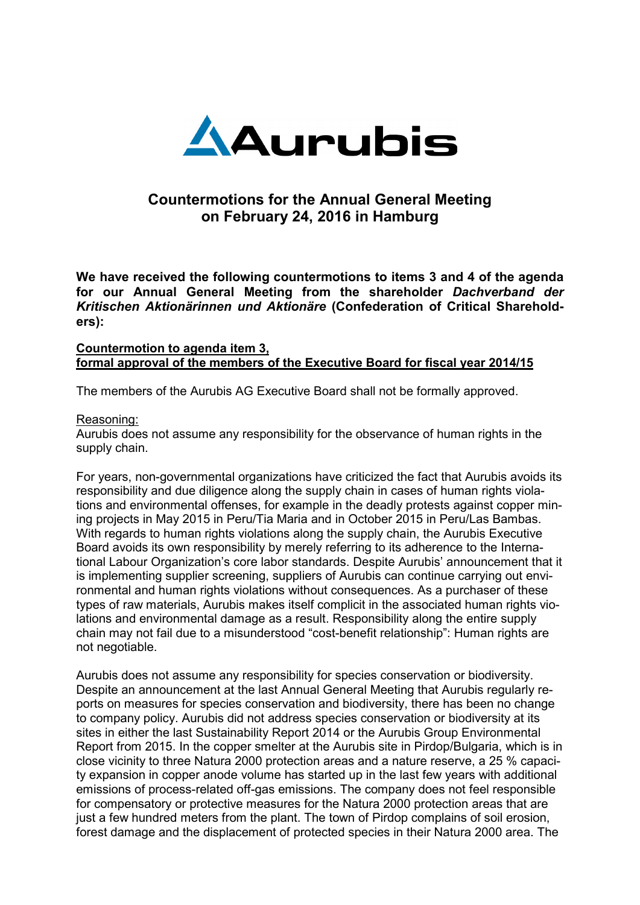

# **Countermotions for the Annual General Meeting on February 24, 2016 in Hamburg**

**We have received the following countermotions to items 3 and 4 of the agenda for our Annual General Meeting from the shareholder** *Dachverband der Kritischen Aktionärinnen und Aktionäre* **(Confederation of Critical Shareholders):** 

# **Countermotion to agenda item 3, formal approval of the members of the Executive Board for fiscal year 2014/15**

The members of the Aurubis AG Executive Board shall not be formally approved.

# Reasoning:

Aurubis does not assume any responsibility for the observance of human rights in the supply chain.

For years, non-governmental organizations have criticized the fact that Aurubis avoids its responsibility and due diligence along the supply chain in cases of human rights violations and environmental offenses, for example in the deadly protests against copper mining projects in May 2015 in Peru/Tia Maria and in October 2015 in Peru/Las Bambas. With regards to human rights violations along the supply chain, the Aurubis Executive Board avoids its own responsibility by merely referring to its adherence to the International Labour Organization's core labor standards. Despite Aurubis' announcement that it is implementing supplier screening, suppliers of Aurubis can continue carrying out environmental and human rights violations without consequences. As a purchaser of these types of raw materials, Aurubis makes itself complicit in the associated human rights violations and environmental damage as a result. Responsibility along the entire supply chain may not fail due to a misunderstood "cost-benefit relationship": Human rights are not negotiable.

Aurubis does not assume any responsibility for species conservation or biodiversity. Despite an announcement at the last Annual General Meeting that Aurubis regularly reports on measures for species conservation and biodiversity, there has been no change to company policy. Aurubis did not address species conservation or biodiversity at its sites in either the last Sustainability Report 2014 or the Aurubis Group Environmental Report from 2015. In the copper smelter at the Aurubis site in Pirdop/Bulgaria, which is in close vicinity to three Natura 2000 protection areas and a nature reserve, a 25 % capacity expansion in copper anode volume has started up in the last few years with additional emissions of process-related off-gas emissions. The company does not feel responsible for compensatory or protective measures for the Natura 2000 protection areas that are just a few hundred meters from the plant. The town of Pirdop complains of soil erosion, forest damage and the displacement of protected species in their Natura 2000 area. The